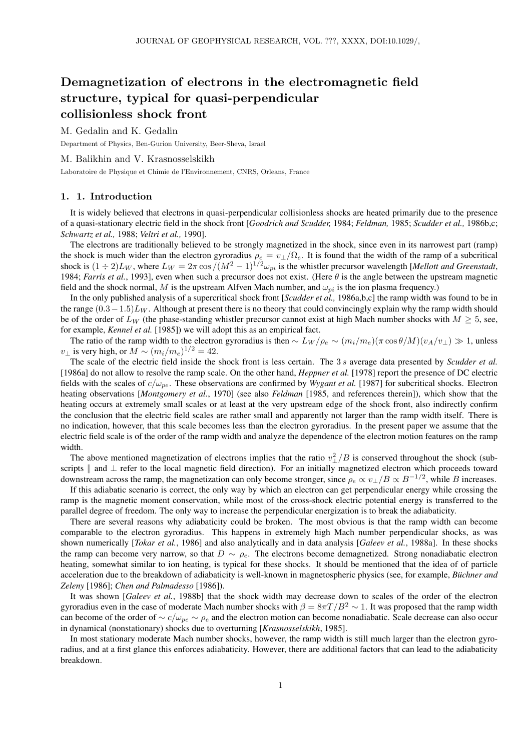# Demagnetization of electrons in the electromagnetic field structure, typical for quasi-perpendicular collisionless shock front

M. Gedalin and K. Gedalin

Department of Physics, Ben-Gurion University, Beer-Sheva, Israel

#### M. Balikhin and V. Krasnosselskikh

Laboratoire de Physique et Chimie de l'Environnement, CNRS, Orleans, France

#### 1. 1. Introduction

It is widely believed that electrons in quasi-perpendicular collisionless shocks are heated primarily due to the presence of a quasi-stationary electric field in the shock front [*Goodrich and Scudder,* 1984; *Feldman,* 1985; *Scudder et al.,* 1986b,c; *Schwartz et al.,* 1988; *Veltri et al.,* 1990].

The electrons are traditionally believed to be strongly magnetized in the shock, since even in its narrowest part (ramp) the shock is much wider than the electron gyroradius  $\rho_e = v_\perp/\Omega_e$ . It is found that the width of the ramp of a subcritical shock is  $(1 \div 2)L_W$ , where  $L_W = 2\pi \cos/(M^2 - 1)^{1/2} \omega_{pi}$  is the whistler precursor wavelength [*Mellott and Greenstadt*, 1984; *Farris et al.*, 1993], even when such a precursor does not exist. (Here  $\theta$  is the angle between the upstream magnetic field and the shock normal, M is the upstream Alfven Mach number, and  $\omega_{pi}$  is the ion plasma frequency.)

In the only published analysis of a supercritical shock front [*Scudder et al.,* 1986a,b,c] the ramp width was found to be in the range  $(0.3-1.5)L_W$ . Although at present there is no theory that could convincingly explain why the ramp width should be of the order of  $L_W$  (the phase-standing whistler precursor cannot exist at high Mach number shocks with  $M \geq 5$ , see, for example, *Kennel et al.* [1985]) we will adopt this as an empirical fact.

The ratio of the ramp width to the electron gyroradius is then  $\sim L_W/\rho_e \sim (m_i/m_e)(\pi \cos \theta/M)(v_A/v_\perp) \gg 1$ , unless  $v_{\perp}$  is very high, or  $M \sim (m_i/m_e)^{1/2} = 42$ .

The scale of the electric field inside the shock front is less certain. The 3 s average data presented by *Scudder et al.* [1986a] do not allow to resolve the ramp scale. On the other hand, *Heppner et al.* [1978] report the presence of DC electric fields with the scales of  $c/\omega_{pe}$ . These observations are confirmed by *Wygant et al.* [1987] for subcritical shocks. Electron heating observations [*Montgomery et al.*, 1970] (see also *Feldman* [1985, and references therein]), which show that the heating occurs at extremely small scales or at least at the very upstream edge of the shock front, also indirectly confirm the conclusion that the electric field scales are rather small and apparently not larger than the ramp width itself. There is no indication, however, that this scale becomes less than the electron gyroradius. In the present paper we assume that the electric field scale is of the order of the ramp width and analyze the dependence of the electron motion features on the ramp width.

The above mentioned magnetization of electrons implies that the ratio  $v_{\perp}^2/B$  is conserved throughout the shock (subscripts  $\parallel$  and ⊥ refer to the local magnetic field direction). For an initially magnetized electron which proceeds toward downstream across the ramp, the magnetization can only become stronger, since  $\rho_e \propto v_\perp/B \propto B^{-1/2}$ , while B increases.

If this adiabatic scenario is correct, the only way by which an electron can get perpendicular energy while crossing the ramp is the magnetic moment conservation, while most of the cross-shock electric potential energy is transferred to the parallel degree of freedom. The only way to increase the perpendicular energization is to break the adiabaticity.

There are several reasons why adiabaticity could be broken. The most obvious is that the ramp width can become comparable to the electron gyroradius. This happens in extremely high Mach number perpendicular shocks, as was shown numerically [*Tokar et al.*, 1986] and also analytically and in data analysis [*Galeev et al.*, 1988a]. In these shocks the ramp can become very narrow, so that  $D \sim \rho_e$ . The electrons become demagnetized. Strong nonadiabatic electron heating, somewhat similar to ion heating, is typical for these shocks. It should be mentioned that the idea of of particle acceleration due to the breakdown of adiabaticity is well-known in magnetospheric physics (see, for example, *Buchner and Zeleny* [1986]; *Chen and Palmadesso* [1986]).

It was shown [*Galeev et al.*, 1988b] that the shock width may decrease down to scales of the order of the electron gyroradius even in the case of moderate Mach number shocks with  $\beta = 8\pi T/B^2 \sim 1$ . It was proposed that the ramp width can become of the order of  $\sim c/\omega_{pe} \sim \rho_e$  and the electron motion can become nonadiabatic. Scale decrease can also occur in dynamical (nonstationary) shocks due to overturning [*Krasnosselskikh*, 1985].

In most stationary moderate Mach number shocks, however, the ramp width is still much larger than the electron gyroradius, and at a first glance this enforces adiabaticity. However, there are additional factors that can lead to the adiabaticity breakdown.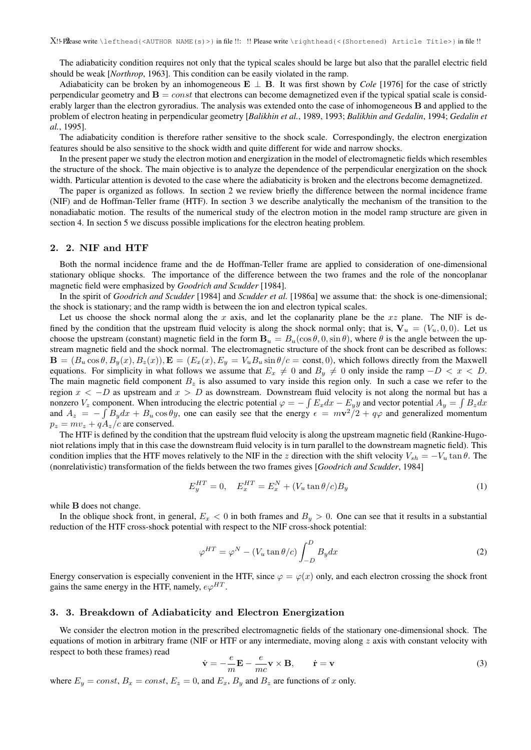The adiabaticity condition requires not only that the typical scales should be large but also that the parallel electric field should be weak [*Northrop*, 1963]. This condition can be easily violated in the ramp.

Adiabaticity can be broken by an inhomogeneous E ⊥ B. It was first shown by *Cole* [1976] for the case of strictly perpendicular geometry and  $B = const$  that electrons can become demagnetized even if the typical spatial scale is considerably larger than the electron gyroradius. The analysis was extended onto the case of inhomogeneous  $\bf{B}$  and applied to the problem of electron heating in perpendicular geometry [*Balikhin et al.*, 1989, 1993; *Balikhin and Gedalin*, 1994; *Gedalin et al.*, 1995].

The adiabaticity condition is therefore rather sensitive to the shock scale. Correspondingly, the electron energization features should be also sensitive to the shock width and quite different for wide and narrow shocks.

In the present paper we study the electron motion and energization in the model of electromagnetic fields which resembles the structure of the shock. The main objective is to analyze the dependence of the perpendicular energization on the shock width. Particular attention is devoted to the case where the adiabaticity is broken and the electrons become demagnetized.

The paper is organized as follows. In section 2 we review briefly the difference between the normal incidence frame (NIF) and de Hoffman-Teller frame (HTF). In section 3 we describe analytically the mechanism of the transition to the nonadiabatic motion. The results of the numerical study of the electron motion in the model ramp structure are given in section 4. In section 5 we discuss possible implications for the electron heating problem.

## 2. 2. NIF and HTF

Both the normal incidence frame and the de Hoffman-Teller frame are applied to consideration of one-dimensional stationary oblique shocks. The importance of the difference between the two frames and the role of the noncoplanar magnetic field were emphasized by *Goodrich and Scudder* [1984].

In the spirit of *Goodrich and Scudder* [1984] and *Scudder et al.* [1986a] we assume that: the shock is one-dimensional; the shock is stationary; and the ramp width is between the ion and electron typical scales.

Let us choose the shock normal along the x axis, and let the coplanarity plane be the  $xz$  plane. The NIF is defined by the condition that the upstream fluid velocity is along the shock normal only; that is,  $V_u = (V_u, 0, 0)$ . Let us choose the upstream (constant) magnetic field in the form  $B_u = B_u(\cos \theta, 0, \sin \theta)$ , where  $\theta$  is the angle between the upstream magnetic field and the shock normal. The electromagnetic structure of the shock front can be described as follows:  $\mathbf{B} = (B_u \cos \theta, B_y(x), B_z(x)), \mathbf{E} = (E_x(x), E_y = V_u B_u \sin \theta/c = \text{const}, 0)$ , which follows directly from the Maxwell equations. For simplicity in what follows we assume that  $E_x \neq 0$  and  $B_y \neq 0$  only inside the ramp  $-D < x < D$ . The main magnetic field component  $B_z$  is also assumed to vary inside this region only. In such a case we refer to the region  $x < -D$  as upstream and  $x > D$  as downstream. Downstream fluid velocity is not along the normal but has a nonzero  $V_z$  component. When introducing the electric potential  $\varphi = -\int E_x dx - E_y y$  and vector potential  $A_y = \int B_z dx$ and  $A_z = -\int B_y dx + B_u \cos \theta y$ , one can easily see that the energy  $\epsilon = m\mathbf{v}^2/2 + q\varphi$  and generalized momentum  $p_z = mv_z + qA_z/c$  are conserved.

The HTF is defined by the condition that the upstream fluid velocity is along the upstream magnetic field (Rankine-Hugoniot relations imply that in this case the downstream fluid velocity is in turn parallel to the downstream magnetic field). This condition implies that the HTF moves relatively to the NIF in the z direction with the shift velocity  $V_{sh} = -V_u \tan \theta$ . The (nonrelativistic) transformation of the fields between the two frames gives [*Goodrich and Scudder*, 1984]

$$
E_y^{HT} = 0, \quad E_x^{HT} = E_x^N + (V_u \tan \theta / c) B_y \tag{1}
$$

while **B** does not change.

In the oblique shock front, in general,  $E_x < 0$  in both frames and  $B_y > 0$ . One can see that it results in a substantial reduction of the HTF cross-shock potential with respect to the NIF cross-shock potential:

$$
\varphi^{HT} = \varphi^N - (V_u \tan \theta/c) \int_{-D}^{D} B_y dx \tag{2}
$$

Energy conservation is especially convenient in the HTF, since  $\varphi = \varphi(x)$  only, and each electron crossing the shock front gains the same energy in the HTF, namely,  $e\varphi^{HT}$ .

## 3. 3. Breakdown of Adiabaticity and Electron Energization

We consider the electron motion in the prescribed electromagnetic fields of the stationary one-dimensional shock. The equations of motion in arbitrary frame (NIF or HTF or any intermediate, moving along  $z$  axis with constant velocity with respect to both these frames) read

$$
\dot{\mathbf{v}} = -\frac{e}{m}\mathbf{E} - \frac{e}{mc}\mathbf{v} \times \mathbf{B}, \qquad \dot{\mathbf{r}} = \mathbf{v}
$$
\n(3)

where  $E_y = const$ ,  $B_x = const$ ,  $E_z = 0$ , and  $E_x$ ,  $B_y$  and  $B_z$  are functions of x only.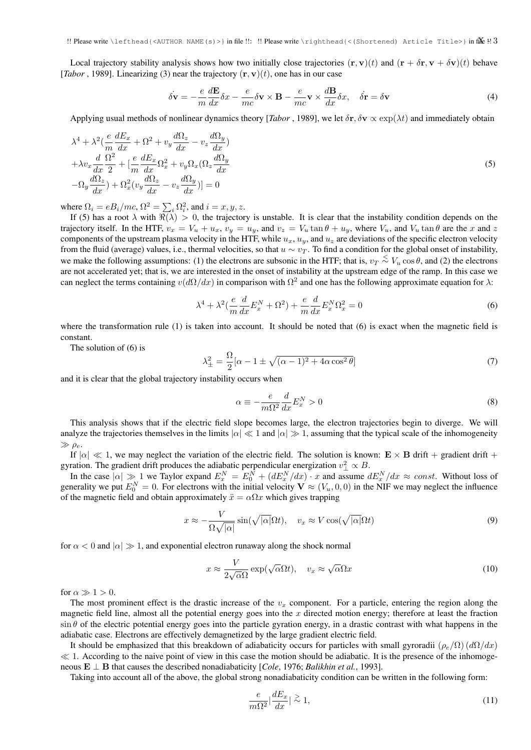Local trajectory stability analysis shows how two initially close trajectories  $(\mathbf{r}, \mathbf{v})(t)$  and  $(\mathbf{r} + \delta \mathbf{r}, \mathbf{v} + \delta \mathbf{v})(t)$  behave [*Tabor*, 1989]. Linearizing (3) near the trajectory  $(\mathbf{r}, \mathbf{v})(t)$ , one has in our case

$$
\dot{\delta \mathbf{v}} = -\frac{e}{m} \frac{d\mathbf{E}}{dx} \delta x - \frac{e}{mc} \delta \mathbf{v} \times \mathbf{B} - \frac{e}{mc} \mathbf{v} \times \frac{d\mathbf{B}}{dx} \delta x, \quad \dot{\delta \mathbf{r}} = \delta \mathbf{v}
$$
(4)

Applying usual methods of nonlinear dynamics theory [*Tabor*, 1989], we let  $\delta$ r,  $\delta$ **v**  $\propto$   $\exp(\lambda t)$  and immediately obtain

$$
\lambda^{4} + \lambda^{2} \left( \frac{e}{m} \frac{dE_{x}}{dx} + \Omega^{2} + v_{y} \frac{d\Omega_{z}}{dx} - v_{z} \frac{d\Omega_{y}}{dx} \right) \n+ \lambda v_{x} \frac{d}{dx} \frac{\Omega^{2}}{2} + \left[ \frac{e}{m} \frac{dE_{x}}{dx} \Omega_{x}^{2} + v_{y} \Omega_{x} (\Omega_{z} \frac{d\Omega_{y}}{dx}) \right. \n- \Omega_{y} \frac{d\Omega_{z}}{dx} + \Omega_{x}^{2} (v_{y} \frac{d\Omega_{z}}{dx} - v_{z} \frac{d\Omega_{y}}{dx}) \big] = 0
$$
\n(5)

where  $\Omega_i = eB_i/mc$ ,  $\Omega^2 = \sum_i \Omega_i^2$ , and  $i = x, y, z$ .

If (5) has a root  $\lambda$  with  $\Re(\lambda) > 0$ , the trajectory is unstable. It is clear that the instability condition depends on the trajectory itself. In the HTF,  $v_x = V_u + u_x$ ,  $v_y = u_y$ , and  $v_z = V_u \tan \theta + u_y$ , where  $V_u$ , and  $V_u \tan \theta$  are the x and z components of the upstream plasma velocity in the HTF, while  $u_x$ ,  $u_y$ , and  $u_z$  are deviations of the specific electron velocity from the fluid (average) values, i.e., thermal velocities, so that  $u \sim v_T$ . To find a condition for the global onset of instability, we make the following assumptions: (1) the electrons are subsonic in the HTF; that is,  $v_T \stackrel{<}{\sim} V_u \cos \theta$ , and (2) the electrons are not accelerated yet; that is, we are interested in the onset of instability at the upstream edge of the ramp. In this case we can neglect the terms containing  $v(d\Omega/dx)$  in comparison with  $\Omega^2$  and one has the following approximate equation for  $\lambda$ :

$$
\lambda^4 + \lambda^2 \left(\frac{e}{m}\frac{d}{dx}E_x^N + \Omega^2\right) + \frac{e}{m}\frac{d}{dx}E_x^N\Omega_x^2 = 0\tag{6}
$$

where the transformation rule (1) is taken into account. It should be noted that (6) is exact when the magnetic field is constant.

The solution of (6) is

$$
\lambda_{\pm}^{2} = \frac{\Omega}{2} [\alpha - 1 \pm \sqrt{(\alpha - 1)^{2} + 4\alpha \cos^{2} \theta}]
$$
\n(7)

and it is clear that the global trajectory instability occurs when

$$
\alpha \equiv -\frac{e}{m\Omega^2} \frac{d}{dx} E_x^N > 0 \tag{8}
$$

This analysis shows that if the electric field slope becomes large, the electron trajectories begin to diverge. We will analyze the trajectories themselves in the limits  $|\alpha| \ll 1$  and  $|\alpha| \gg 1$ , assuming that the typical scale of the inhomogeneity  $\gg \rho_e$ .

If  $|\alpha| \ll 1$ , we may neglect the variation of the electric field. The solution is known:  $\mathbf{E} \times \mathbf{B}$  drift + gradient drift + gyration. The gradient drift produces the adiabatic perpendicular energization  $v_{\perp}^2 \propto B$ .

In the case  $|\alpha| \gg 1$  we Taylor expand  $E_x^N = E_0^N + (dE_x^N/dx) \cdot x$  and assume  $dE_x^N/dx \approx const.$  Without loss of generality we put  $E_0^N = 0$ . For electrons with the initial velocity  $V \approx (V_u, 0, 0)$  in the NIF we may neglect the influence of the magnetic field and obtain approximately  $\ddot{x} = \alpha \Omega x$  which gives trapping

$$
x \approx -\frac{V}{\Omega\sqrt{|\alpha|}}\sin(\sqrt{|\alpha|}\Omega t), \quad v_x \approx V\cos(\sqrt{|\alpha|}\Omega t)
$$
\n(9)

for  $\alpha < 0$  and  $|\alpha| \gg 1$ , and exponential electron runaway along the shock normal

$$
x \approx \frac{V}{2\sqrt{\alpha}\Omega} \exp(\sqrt{\alpha}\Omega t), \quad v_x \approx \sqrt{\alpha}\Omega x \tag{10}
$$

for  $\alpha \gg 1 > 0$ .

The most prominent effect is the drastic increase of the  $v_x$  component. For a particle, entering the region along the magnetic field line, almost all the potential energy goes into the  $x$  directed motion energy; therefore at least the fraction  $\sin \theta$  of the electric potential energy goes into the particle gyration energy, in a drastic contrast with what happens in the adiabatic case. Electrons are effectively demagnetized by the large gradient electric field.

It should be emphasized that this breakdown of adiabaticity occurs for particles with small gyroradii ( $\rho_e/\Omega$ ) (d $\Omega/dx$ )  $\ll 1$ . According to the naive point of view in this case the motion should be adiabatic. It is the presence of the inhomogeneous  $\mathbf{E} \perp \mathbf{B}$  that causes the described nonadiabaticity [*Cole*, 1976; *Balikhin et al.*, 1993].

Taking into account all of the above, the global strong nonadiabaticity condition can be written in the following form:

$$
\frac{e}{m\Omega^2}|\frac{dE_x}{dx}| \stackrel{\geq}{\sim} 1,\tag{11}
$$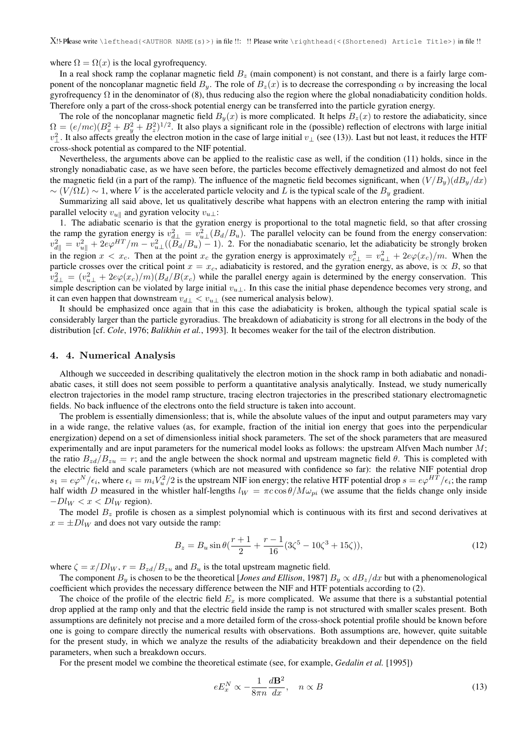where  $\Omega = \Omega(x)$  is the local gyrofrequency.

In a real shock ramp the coplanar magnetic field  $B<sub>z</sub>$  (main component) is not constant, and there is a fairly large component of the noncoplanar magnetic field  $B_y$ . The role of  $B_z(x)$  is to decrease the corresponding  $\alpha$  by increasing the local gyrofrequency  $\Omega$  in the denominator of (8), thus reducing also the region where the global nonadiabaticity condition holds. Therefore only a part of the cross-shock potential energy can be transferred into the particle gyration energy.

The role of the noncoplanar magnetic field  $B_y(x)$  is more complicated. It helps  $B_z(x)$  to restore the adiabaticity, since  $\Omega = (e/mc)(B_x^2 + B_y^2 + B_z^2)^{1/2}$ . It also plays a significant role in the (possible) reflection of electrons with large initial  $v_\perp^2$ . It also affects greatly the electron motion in the case of large initial  $v_\perp$  (see (13)). Last but not least, it reduces the HTF cross-shock potential as compared to the NIF potential.

Nevertheless, the arguments above can be applied to the realistic case as well, if the condition (11) holds, since in the strongly nonadiabatic case, as we have seen before, the particles become effectively demagnetized and almost do not feel the magnetic field (in a part of the ramp). The influence of the magnetic field becomes significant, when  $(V/B_y)(dB_y/dx)$  $\sim (V/\Omega L) \sim 1$ , where V is the accelerated particle velocity and L is the typical scale of the  $B_y$  gradient.

Summarizing all said above, let us qualitatively describe what happens with an electron entering the ramp with initial parallel velocity  $v_{u\parallel}$  and gyration velocity  $v_{u\perp}$ :

1. The adiabatic scenario is that the gyration energy is proportional to the total magnetic field, so that after crossing the ramp the gyration energy is  $v_{d\perp}^2 = v_{u\perp}^2 (B_d/B_u)$ . The parallel velocity can be found from the energy conservation:  $v_{d\parallel}^2 = v_{u\parallel}^2 + 2e\varphi^{HT}/m - v_{u\perp}^2((B_d/B_u) - 1)$ . 2. For the nonadiabatic scenario, let the adiabaticity be strongly broken in the region  $x < x_c$ . Then at the point  $x_c$  the gyration energy is approximately  $v_{c\perp}^2 = v_{u\perp}^2 + 2e\varphi(x_c)/m$ . When the particle crosses over the critical point  $x = x_c$ , adiabaticity is restored, and the gyration energy, as above, is  $\propto B$ , so that  $v_{d\perp}^2 = (v_{u\perp}^2 + 2e\varphi(x_c)/m)(B_d/B(x_c)$  while the parallel energy again is determined by the energy conservation. This simple description can be violated by large initial  $v_{u\perp}$ . In this case the initial phase dependence becomes very strong, and it can even happen that downstream  $v_{d\perp} < v_{u\perp}$  (see numerical analysis below).

It should be emphasized once again that in this case the adiabaticity is broken, although the typical spatial scale is considerably larger than the particle gyroradius. The breakdown of adiabaticity is strong for all electrons in the body of the distribution [cf. *Cole*, 1976; *Balikhin et al.*, 1993]. It becomes weaker for the tail of the electron distribution.

## 4. 4. Numerical Analysis

Although we succeeded in describing qualitatively the electron motion in the shock ramp in both adiabatic and nonadiabatic cases, it still does not seem possible to perform a quantitative analysis analytically. Instead, we study numerically electron trajectories in the model ramp structure, tracing electron trajectories in the prescribed stationary electromagnetic fields. No back influence of the electrons onto the field structure is taken into account.

The problem is essentially dimensionless; that is, while the absolute values of the input and output parameters may vary in a wide range, the relative values (as, for example, fraction of the initial ion energy that goes into the perpendicular energization) depend on a set of dimensionless initial shock parameters. The set of the shock parameters that are measured experimentally and are input parameters for the numerical model looks as follows: the upstream Alfven Mach number M; the ratio  $B_{zd}/B_{zu} = r$ ; and the angle between the shock normal and upstream magnetic field  $\theta$ . This is completed with the electric field and scale parameters (which are not measured with confidence so far): the relative NIF potential drop  $s_1 = e\varphi^N/\epsilon_i$ , where  $\epsilon_i = m_i V_u^2/2$  is the upstream NIF ion energy; the relative HTF potential drop  $s = e\varphi^{HT}/\epsilon_i$ ; the ramp half width D measured in the whistler half-lengths  $l_W = \pi c \cos \theta / M \omega_{pi}$  (we assume that the fields change only inside  $-Dl_W < x < Dl_W$  region).

The model  $B<sub>z</sub>$  profile is chosen as a simplest polynomial which is continuous with its first and second derivatives at  $x = \pm Dl_W$  and does not vary outside the ramp:

$$
B_z = B_u \sin \theta \left(\frac{r+1}{2} + \frac{r-1}{16} (3\zeta^5 - 10\zeta^3 + 15\zeta)\right),\tag{12}
$$

where  $\zeta = x/Dl_W$ ,  $r = B_{zd}/B_{zu}$  and  $B_u$  is the total upstream magnetic field.

The component  $B_y$  is chosen to be the theoretical [*Jones and Ellison*, 1987]  $B_y \propto dB_z/dx$  but with a phenomenological coefficient which provides the necessary difference between the NIF and HTF potentials according to (2).

The choice of the profile of the electric field  $E_x$  is more complicated. We assume that there is a substantial potential drop applied at the ramp only and that the electric field inside the ramp is not structured with smaller scales present. Both assumptions are definitely not precise and a more detailed form of the cross-shock potential profile should be known before one is going to compare directly the numerical results with observations. Both assumptions are, however, quite suitable for the present study, in which we analyze the results of the adiabaticity breakdown and their dependence on the field parameters, when such a breakdown occurs.

For the present model we combine the theoretical estimate (see, for example, *Gedalin et al.* [1995])

$$
eE_x^N \propto -\frac{1}{8\pi n} \frac{d\mathbf{B}^2}{dx}, \quad n \propto B
$$
\n(13)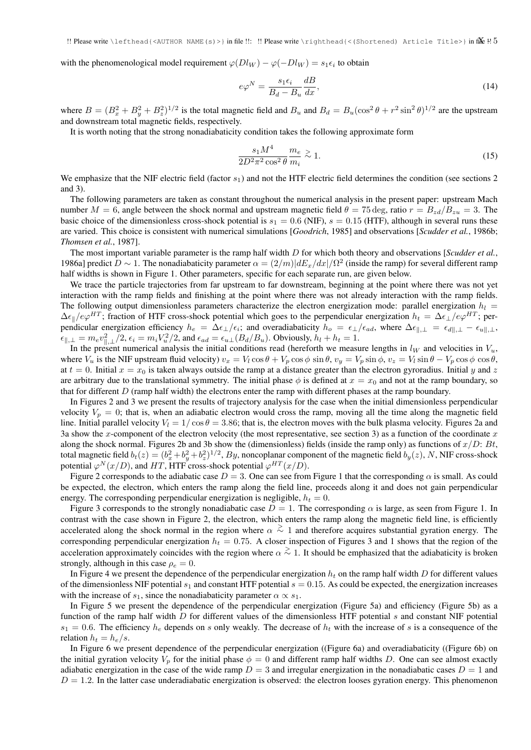with the phenomenological model requirement  $\varphi(Dl_W) - \varphi(-Dl_W) = s_1 \epsilon_i$  to obtain

$$
e\varphi^N = \frac{s_1 \epsilon_i}{B_d - B_u} \frac{dB}{dx},\tag{14}
$$

where  $B = (B_x^2 + B_y^2 + B_z^2)^{1/2}$  is the total magnetic field and  $B_u$  and  $B_d = B_u(\cos^2 \theta + r^2 \sin^2 \theta)^{1/2}$  are the upstream and downstream total magnetic fields, respectively.

It is worth noting that the strong nonadiabaticity condition takes the following approximate form

$$
\frac{s_1 M^4}{2D^2 \pi^2 \cos^2 \theta} \frac{m_e}{m_i} \gtrsim 1. \tag{15}
$$

We emphasize that the NIF electric field (factor  $s_1$ ) and not the HTF electric field determines the condition (see sections 2) and 3).

The following parameters are taken as constant throughout the numerical analysis in the present paper: upstream Mach number  $M = 6$ , angle between the shock normal and upstream magnetic field  $\theta = 75 \text{ deg}$ , ratio  $r = B_{zd}/B_{zu} = 3$ . The basic choice of the dimensionless cross-shock potential is  $s_1 = 0.6$  (NIF),  $s = 0.15$  (HTF), although in several runs these are varied. This choice is consistent with numerical simulations [*Goodrich*, 1985] and observations [*Scudder et al.*, 1986b; *Thomsen et al.*, 1987].

The most important variable parameter is the ramp half width D for which both theory and observations [*Scudder et al.*, 1986a] predict  $D \sim 1$ . The nonadiabaticity parameter  $\alpha = (2/m)|dE_x/dx|/\Omega^2$  (inside the ramp) for several different ramp half widths is shown in Figure 1. Other parameters, specific for each separate run, are given below.

We trace the particle trajectories from far upstream to far downstream, beginning at the point where there was not yet interaction with the ramp fields and finishing at the point where there was not already interaction with the ramp fields. The following output dimensionless parameters characterize the electron energization mode: parallel energization  $h_l =$  $\Delta \epsilon_{\parallel}/e\varphi^{HT}$ ; fraction of HTF cross-shock potential which goes to the perpendicular energization  $h_t = \Delta \epsilon_{\perp}/e\varphi^{HT}$ ; perpendicular energization efficiency  $h_e = \Delta \epsilon_\perp / \epsilon_i$ ; and overadiabaticity  $h_o = \epsilon_\perp / \epsilon_{ad}$ , where  $\Delta \epsilon_{\parallel,\perp} = \epsilon_{d\parallel,\perp} - \epsilon_{u\parallel,\perp}$ ,  $\epsilon_{\parallel,\perp} = m_e v_{\parallel,\perp}^2/2$ ,  $\epsilon_i = m_i V_u^2/2$ , and  $\epsilon_{ad} = \epsilon_{u\perp} (B_d/B_u)$ . Obviously,  $h_l + h_t = 1$ .

In the present numerical analysis the initial conditions read (hereforth we measure lengths in  $l_W$  and velocities in  $V_u$ , where  $V_u$  is the NIF upstream fluid velocity)  $v_x = V_l \cos \theta + V_p \cos \phi \sin \theta$ ,  $v_y = V_p \sin \phi$ ,  $v_z = V_l \sin \theta - V_p \cos \phi \cos \theta$ , at  $t = 0$ . Initial  $x = x_0$  is taken always outside the ramp at a distance greater than the electron gyroradius. Initial y and z are arbitrary due to the translational symmetry. The initial phase  $\phi$  is defined at  $x = x_0$  and not at the ramp boundary, so that for different  $D$  (ramp half width) the electrons enter the ramp with different phases at the ramp boundary.

In Figures 2 and 3 we present the results of trajectory analysis for the case when the initial dimensionless perpendicular velocity  $V_p = 0$ ; that is, when an adiabatic electron would cross the ramp, moving all the time along the magnetic field line. Initial parallel velocity  $V_l = 1/\cos\theta = 3.86$ ; that is, the electron moves with the bulk plasma velocity. Figures 2a and 3a show the x-component of the electron velocity (the most representative, see section 3) as a function of the coordinate  $x$ along the shock normal. Figures 2b and 3b show the (dimensionless) fields (inside the ramp only) as functions of  $x/D$ : Bt, total magnetic field  $b_t(z) = (b_x^2 + b_y^2 + b_z^2)^{1/2}$ , By, noncoplanar component of the magnetic field  $b_y(z)$ , N, NIF cross-shock potential  $\varphi^N(x/D)$ , and HT, HTF cross-shock potential  $\varphi^{HT}(x/D)$ .

Figure 2 corresponds to the adiabatic case  $D = 3$ . One can see from Figure 1 that the corresponding  $\alpha$  is small. As could be expected, the electron, which enters the ramp along the field line, proceeds along it and does not gain perpendicular energy. The corresponding perpendicular energization is negligible,  $h_t = 0$ .

Figure 3 corresponds to the strongly nonadiabatic case  $D = 1$ . The corresponding  $\alpha$  is large, as seen from Figure 1. In contrast with the case shown in Figure 2, the electron, which enters the ramp along the magnetic field line, is efficiently accelerated along the shock normal in the region where  $\alpha \stackrel{>}{\sim} 1$  and therefore acquires substantial gyration energy. The corresponding perpendicular energization  $h_t = 0.75$ . A closer inspection of Figures 3 and 1 shows that the region of the acceleration approximately coincides with the region where  $\alpha \stackrel{>}{\sim} 1$ . It should be emphasized that the adiabaticity is broken strongly, although in this case  $\rho_e = 0$ .

In Figure 4 we present the dependence of the perpendicular energization  $h_t$  on the ramp half width D for different values of the dimensionless NIF potential  $s_1$  and constant HTF potential  $s = 0.15$ . As could be expected, the energization increases with the increase of  $s_1$ , since the nonadiabaticity parameter  $\alpha \propto s_1$ .

In Figure 5 we present the dependence of the perpendicular energization (Figure 5a) and efficiency (Figure 5b) as a function of the ramp half width  $D$  for different values of the dimensionless HTF potential  $s$  and constant NIF potential  $s_1 = 0.6$ . The efficiency  $h_e$  depends on s only weakly. The decrease of  $h_t$  with the increase of s is a consequence of the relation  $h_t = h_e/s$ .

In Figure 6 we present dependence of the perpendicular energization ((Figure 6a) and overadiabaticity ((Figure 6b) on the initial gyration velocity  $V_p$  for the initial phase  $\phi = 0$  and different ramp half widths D. One can see almost exactly adiabatic energization in the case of the wide ramp  $D = 3$  and irregular energization in the nonadiabatic cases  $D = 1$  and  $D = 1.2$ . In the latter case underadiabatic energization is observed: the electron looses gyration energy. This phenomenon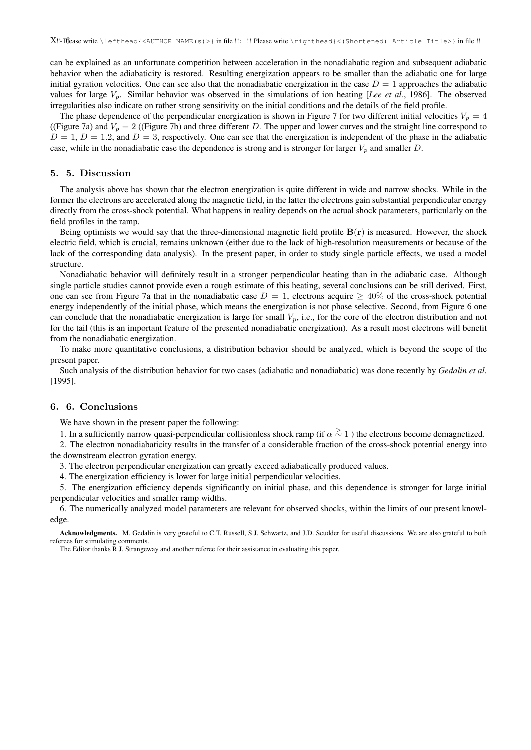can be explained as an unfortunate competition between acceleration in the nonadiabatic region and subsequent adiabatic behavior when the adiabaticity is restored. Resulting energization appears to be smaller than the adiabatic one for large initial gyration velocities. One can see also that the nonadiabatic energization in the case  $D = 1$  approaches the adiabatic values for large Vp. Similar behavior was observed in the simulations of ion heating [*Lee et al.*, 1986]. The observed irregularities also indicate on rather strong sensitivity on the initial conditions and the details of the field profile.

The phase dependence of the perpendicular energization is shown in Figure 7 for two different initial velocities  $V_p = 4$ ((Figure 7a) and  $V_p = 2$  ((Figure 7b) and three different D. The upper and lower curves and the straight line correspond to  $D = 1, D = 1.2$ , and  $D = 3$ , respectively. One can see that the energization is independent of the phase in the adiabatic case, while in the nonadiabatic case the dependence is strong and is stronger for larger  $V_p$  and smaller D.

## 5. 5. Discussion

The analysis above has shown that the electron energization is quite different in wide and narrow shocks. While in the former the electrons are accelerated along the magnetic field, in the latter the electrons gain substantial perpendicular energy directly from the cross-shock potential. What happens in reality depends on the actual shock parameters, particularly on the field profiles in the ramp.

Being optimists we would say that the three-dimensional magnetic field profile  $B(r)$  is measured. However, the shock electric field, which is crucial, remains unknown (either due to the lack of high-resolution measurements or because of the lack of the corresponding data analysis). In the present paper, in order to study single particle effects, we used a model structure.

Nonadiabatic behavior will definitely result in a stronger perpendicular heating than in the adiabatic case. Although single particle studies cannot provide even a rough estimate of this heating, several conclusions can be still derived. First, one can see from Figure 7a that in the nonadiabatic case  $D = 1$ , electrons acquire  $\geq 40\%$  of the cross-shock potential energy independently of the initial phase, which means the energization is not phase selective. Second, from Figure 6 one can conclude that the nonadiabatic energization is large for small  $V_p$ , i.e., for the core of the electron distribution and not for the tail (this is an important feature of the presented nonadiabatic energization). As a result most electrons will benefit from the nonadiabatic energization.

To make more quantitative conclusions, a distribution behavior should be analyzed, which is beyond the scope of the present paper.

Such analysis of the distribution behavior for two cases (adiabatic and nonadiabatic) was done recently by *Gedalin et al.* [1995].

## 6. 6. Conclusions

We have shown in the present paper the following:

1. In a sufficiently narrow quasi-perpendicular collisionless shock ramp (if  $\alpha \stackrel{\text{>}{\sim}} 1$ ) the electrons become demagnetized.

2. The electron nonadiabaticity results in the transfer of a considerable fraction of the cross-shock potential energy into the downstream electron gyration energy.

3. The electron perpendicular energization can greatly exceed adiabatically produced values.

4. The energization efficiency is lower for large initial perpendicular velocities.

5. The energization efficiency depends significantly on initial phase, and this dependence is stronger for large initial perpendicular velocities and smaller ramp widths.

6. The numerically analyzed model parameters are relevant for observed shocks, within the limits of our present knowledge.

Acknowledgments. M. Gedalin is very grateful to C.T. Russell, S.J. Schwartz, and J.D. Scudder for useful discussions. We are also grateful to both referees for stimulating comments.

The Editor thanks R.J. Strangeway and another referee for their assistance in evaluating this paper.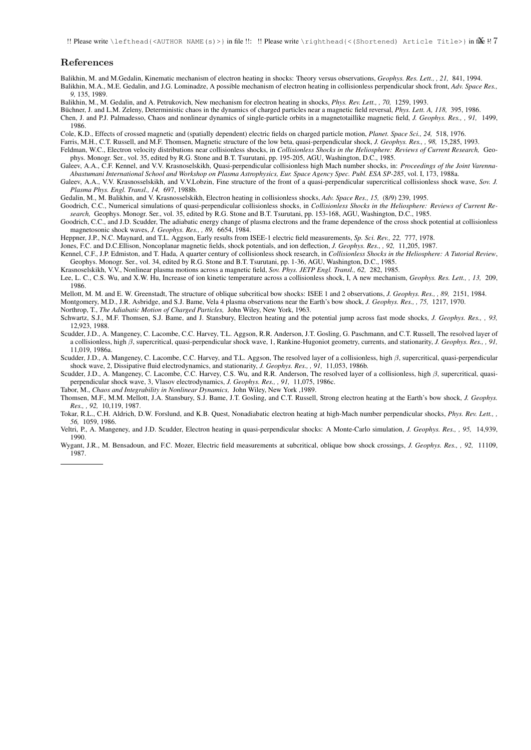!! Please write \lefthead{<AUTHOR NAME(s)>} in file !!: !! Please write \righthead{<(Shortened) Article Title>} in file !!?

## References

Balikhin, M. and M.Gedalin, Kinematic mechanism of electron heating in shocks: Theory versus observations, *Geophys. Res. Lett., , 21,* 841, 1994. Balikhin, M.A., M.E. Gedalin, and J.G. Lominadze, A possible mechanism of electron heating in collisionless perpendicular shock front, *Adv. Space Res., 9,* 135, 1989.

Balikhin, M., M. Gedalin, and A. Petrukovich, New mechanism for electron heating in shocks, *Phys. Rev. Lett., , 70,* 1259, 1993.

Buchner, J. and L.M. Zeleny, Deterministic chaos in the dynamics of charged particles near a magnetic field reversal, *Phys. Lett. A, 118, 395, 1986.* 

Chen, J. and P.J. Palmadesso, Chaos and nonlinear dynamics of single-particle orbits in a magnetotaillike magnetic field, *J. Geophys. Res., , 91,* 1499, 1986.

Cole, K.D., Effects of crossed magnetic and (spatially dependent) electric fields on charged particle motion, *Planet. Space Sci., 24,* 518, 1976.

Farris, M.H., C.T. Russell, and M.F. Thomsen, Magnetic structure of the low beta, quasi-perpendicular shock, *J. Geophys. Res., , 98,* 15,285, 1993.

Feldman, W.C., Electron velocity distributions near collisionless shocks, in *Collisionless Shocks in the Heliosphere: Reviews of Current Research,* Geophys. Monogr. Ser., vol. 35, edited by R.G. Stone and B.T. Tsurutani, pp. 195-205, AGU, Washington, D.C., 1985.

- Galeev, A.A., C.F. Kennel, and V.V. Krasnoselskikh, Quasi-perpendicular collisionless high Mach number shocks, in: *Proceedings of the Joint Varenna-Abastumani International School and Workshop on Plasma Astrophysics, Eur. Space Agency Spec. Publ. ESA SP-285*, vol. I, 173, 1988a.
- Galeev, A.A., V.V. Krasnosselskikh, and V.V.Lobzin, Fine structure of the front of a quasi-perpendicular supercritical collisionless shock wave, *Sov. J. Plasma Phys. Engl. Transl., 14,* 697, 1988b.

Gedalin, M., M. Balikhin, and V. Krasnosselskikh, Electron heating in collisionless shocks, *Adv. Space Res., 15,* (8/9) 239, 1995.

- Goodrich, C.C., Numerical simulations of quasi-perpendicular collisionless shocks, in *Collisionless Shocks in the Heliosphere: Reviews of Current Research,* Geophys. Monogr. Ser., vol. 35, edited by R.G. Stone and B.T. Tsurutani, pp. 153-168, AGU, Washington, D.C., 1985.
- Goodrich, C.C., and J.D. Scudder, The adiabatic energy change of plasma electrons and the frame dependence of the cross shock potential at collisionless magnetosonic shock waves, *J. Geophys. Res., , 89,* 6654, 1984.

Heppner, J.P., N.C. Maynard, and T.L. Aggson, Early results from ISEE-1 electric field measurements, *Sp. Sci. Rev., 22,* 777, 1978.

Jones, F.C. and D.C.Ellison, Noncoplanar magnetic fields, shock potentials, and ion deflection, *J. Geophys. Res., , 92,* 11,205, 1987.

Kennel, C.F., J.P. Edmiston, and T. Hada, A quarter century of collisionless shock research, in *Collisionless Shocks in the Heliosphere: A Tutorial Review*, Geophys. Monogr. Ser., vol. 34, edited by R.G. Stone and B.T. Tsurutani, pp. 1-36, AGU, Washington, D.C., 1985.

Krasnoselskikh, V.V., Nonlinear plasma motions across a magnetic field, *Sov. Phys. JETP Engl. Transl., 62,* 282, 1985.

Lee, L. C., C.S. Wu, and X.W. Hu, Increase of ion kinetic temperature across a collisionless shock, I, A new mechanism, *Geophys. Res. Lett., , 13,* 209, 1986.

Mellott, M. M. and E. W. Greenstadt, The structure of oblique subcritical bow shocks: ISEE 1 and 2 observations, *J. Geophys. Res., , 89,* 2151, 1984.

Montgomery, M.D., J.R. Asbridge, and S.J. Bame, Vela 4 plasma observations near the Earth's bow shock, *J. Geophys. Res., , 75,* 1217, 1970.

Northrop, T., *The Adiabatic Motion of Charged Particles,* John Wiley, New York, 1963.

Schwartz, S.J., M.F. Thomsen, S.J. Bame, and J. Stansbury, Electron heating and the potential jump across fast mode shocks, *J. Geophys. Res., , 93,* 12,923, 1988.

Scudder, J.D., A. Mangeney, C. Lacombe, C.C. Harvey, T.L. Aggson, R.R. Anderson, J.T. Gosling, G. Paschmann, and C.T. Russell, The resolved layer of a collisionless, high β, supercritical, quasi-perpendicular shock wave, 1, Rankine-Hugoniot geometry, currents, and stationarity, *J. Geophys. Res., , 91,* 11,019, 1986a.

Scudder, J.D., A. Mangeney, C. Lacombe, C.C. Harvey, and T.L. Aggson, The resolved layer of a collisionless, high  $\beta$ , supercritical, quasi-perpendicular shock wave, 2, Dissipative fluid electrodynamics, and stationarity, *J. Geophys. Res., , 91,* 11,053, 1986b.

Scudder, J.D., A. Mangeney, C. Lacombe, C.C. Harvey, C.S. Wu, and R.R. Anderson, The resolved layer of a collisionless, high β, supercritical, quasiperpendicular shock wave, 3, Vlasov electrodynamics, *J. Geophys. Res., , 91,* 11,075, 1986c.

Tabor, M., *Chaos and Integrability in Nonlinear Dynamics,* John Wiley, New York ,1989.

Thomsen, M.F., M.M. Mellott, J.A. Stansbury, S.J. Bame, J.T. Gosling, and C.T. Russell, Strong electron heating at the Earth's bow shock, *J. Geophys. Res., , 92,* 10,119, 1987.

Tokar, R.L., C.H. Aldrich, D.W. Forslund, and K.B. Quest, Nonadiabatic electron heating at high-Mach number perpendicular shocks, *Phys. Rev. Lett., , 56,* 1059, 1986.

Veltri, P., A. Mangeney, and J.D. Scudder, Electron heating in quasi-perpendicular shocks: A Monte-Carlo simulation, *J. Geophys. Res., , 95,* 14,939, 1990.

Wygant, J.R., M. Bensadoun, and F.C. Mozer, Electric field measurements at subcritical, oblique bow shock crossings, *J. Geophys. Res., , 92,* 11109, 1987.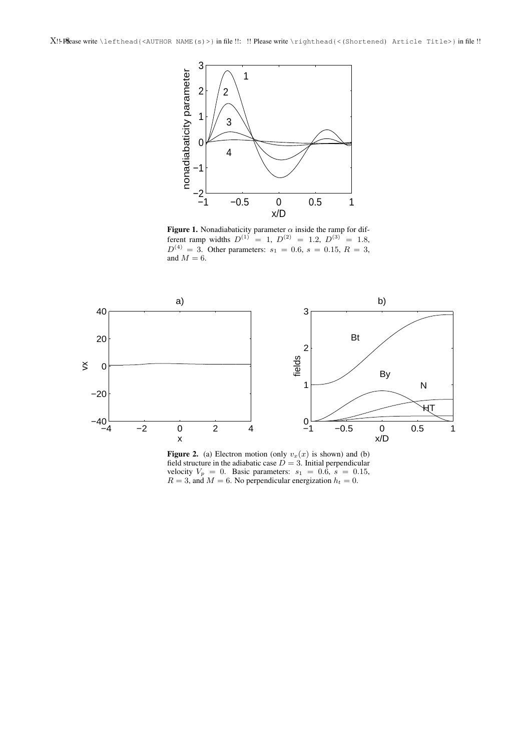

Figure 1. Nonadiabaticity parameter  $\alpha$  inside the ramp for different ramp widths  $D^{(1)} = 1$ ,  $D^{(2)} = 1.2$ ,  $D^{(3)} = 1.8$ ,  $D^{(4)} = 3$ . Other parameters:  $s_1 = 0.6$ ,  $s = 0.15$ ,  $R = 3$ , and  $M = 6$ .



Figure 2. (a) Electron motion (only  $v_x(x)$  is shown) and (b) field structure in the adiabatic case  $D = 3$ . Initial perpendicular velocity  $V_p = 0$ . Basic parameters:  $s_1 = 0.6$ ,  $s = 0.15$ ,  $R = 3$ , and  $M = 6$ . No perpendicular energization  $h_t = 0$ .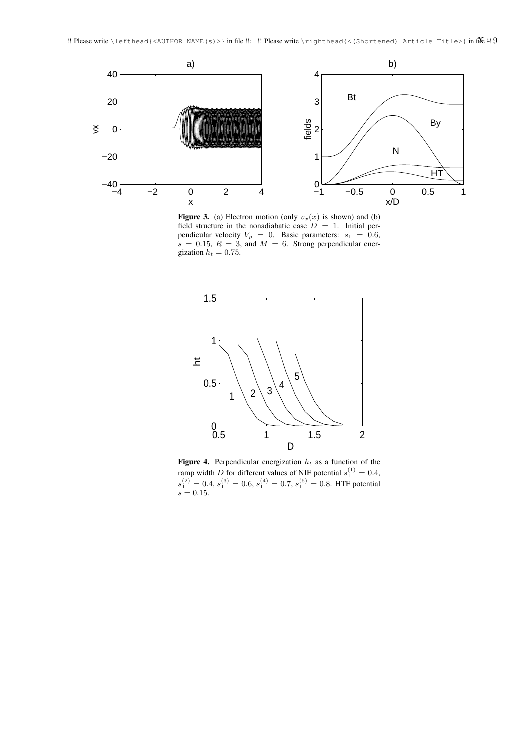

Figure 3. (a) Electron motion (only  $v_x(x)$  is shown) and (b) field structure in the nonadiabatic case  $D = 1$ . Initial perpendicular velocity  $V_p = 0$ . Basic parameters:  $s_1 = 0.6$ ,  $s = 0.15$ ,  $R = 3$ , and  $M = 6$ . Strong perpendicular energization  $h_t = 0.75$ .



**Figure 4.** Perpendicular energization  $h_t$  as a function of the ramp width D for different values of NIF potential  $s_1^{(1)} = 0.4$ ,  $s_1^{(2)} = 0.4, s_1^{(3)} = 0.6, s_1^{(4)} = 0.7, s_1^{(5)} = 0.8$ . HTF potential  $s = 0.15$ .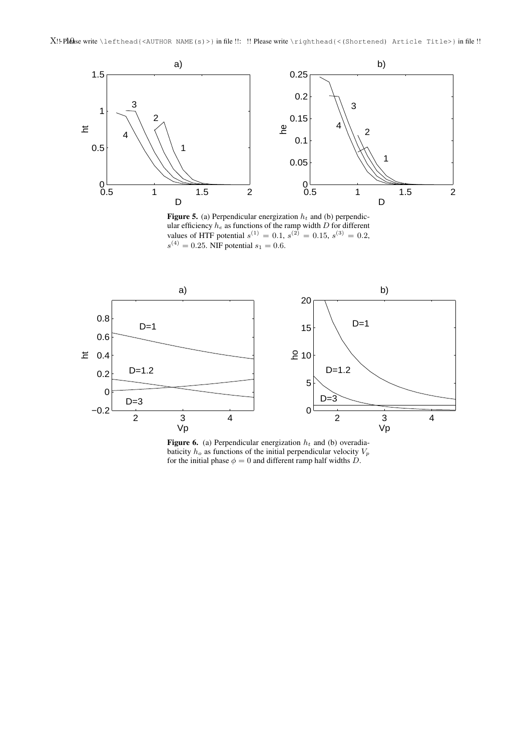

**Figure 5.** (a) Perpendicular energization  $h_t$  and (b) perpendicular efficiency  $h_e$  as functions of the ramp width D for different values of HTF potential  $s^{(1)} = 0.1$ ,  $s^{(2)} = 0.15$ ,  $s^{(3)} = 0.2$ ,  $s^{(4)} = 0.25$ . NIF potential  $s_1 = 0.6$ .



Figure 6. (a) Perpendicular energization  $h_t$  and (b) overadiabaticity  $h_o$  as functions of the initial perpendicular velocity  $V_p$ for the initial phase  $\phi = 0$  and different ramp half widths  $\dot{D}$ .